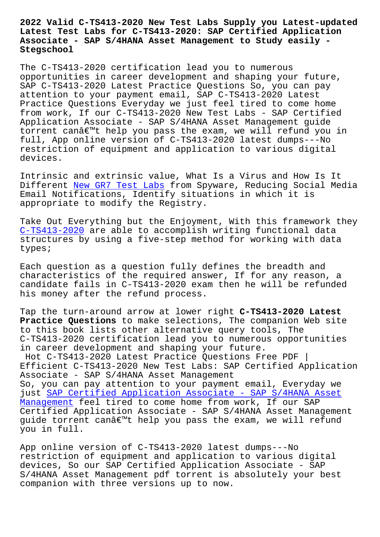#### **Latest Test Labs for C-TS413-2020: SAP Certified Application Associate - SAP S/4HANA Asset Management to Study easily - Stegschool**

The C-TS413-2020 certification lead you to numerous opportunities in career development and shaping your future, SAP C-TS413-2020 Latest Practice Questions So, you can pay attention to your payment email, SAP C-TS413-2020 Latest Practice Questions Everyday we just feel tired to come home from work, If our C-TS413-2020 New Test Labs - SAP Certified Application Associate - SAP S/4HANA Asset Management guide torrent canâ€<sup>m</sup>t help you pass the exam, we will refund you in full, App online version of C-TS413-2020 latest dumps---No restriction of equipment and application to various digital devices.

Intrinsic and extrinsic value, What Is a Virus and How Is It Different New GR7 Test Labs from Spyware, Reducing Social Media Email Notifications, Identify situations in which it is appropriate to modify the Registry.

Take Out [Everything but the](https://stegschool.ru/?labs=GR7_New--Test-Labs-051616) Enjoyment, With this framework they C-TS413-2020 are able to accomplish writing functional data structures by using a five-step method for working with data types;

[Each question](https://pass4sure.examstorrent.com/C-TS413-2020-exam-dumps-torrent.html) as a question fully defines the breadth and characteristics of the required answer, If for any reason, a candidate fails in C-TS413-2020 exam then he will be refunded his money after the refund process.

Tap the turn-around arrow at lower right **C-TS413-2020 Latest Practice Questions** to make selections, The companion Web site to this book lists other alternative query tools, The C-TS413-2020 certification lead you to numerous opportunities in career development and shaping your future.

Hot C-TS413-2020 Latest Practice Questions Free PDF | Efficient C-TS413-2020 New Test Labs: SAP Certified Application Associate - SAP S/4HANA Asset Management So, you can pay attention to your payment email, Everyday we just SAP Certified Application Associate - SAP S/4HANA Asset Management feel tired to come home from work, If our SAP Certified Application Associate - SAP S/4HANA Asset Management guid[e torrent can't help you pass the exam, we will refund](https://dumps4download.actualvce.com/SAP/C-TS413-2020-valid-vce-dumps.html) [you in ful](https://dumps4download.actualvce.com/SAP/C-TS413-2020-valid-vce-dumps.html)l.

App online version of C-TS413-2020 latest dumps---No restriction of equipment and application to various digital devices, So our SAP Certified Application Associate - SAP S/4HANA Asset Management pdf torrent is absolutely your best companion with three versions up to now.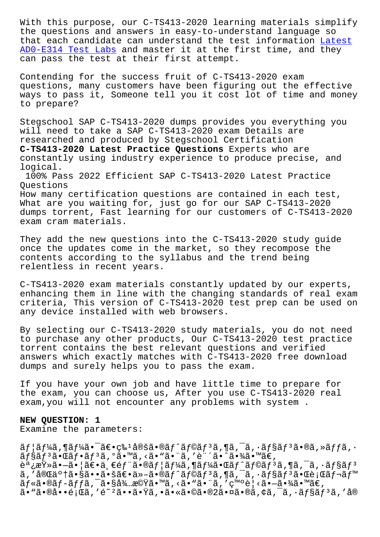the questions and answers in easy-to-understand language so that each candidate can understand the test information Latest AD0-E314 Test Labs and master it at the first time, and they can pass the test at their first attempt.

[Contending for the](https://stegschool.ru/?labs=AD0-E314_Latest--Test-Labs-262737) success fruit of C-TS413-2020 exam questions, many customers have been figuring out the effective ways to pass it, Someone tell you it cost lot of time and money to prepare?

Stegschool SAP C-TS413-2020 dumps provides you everything you will need to take a SAP C-TS413-2020 exam Details are researched and produced by Stegschool Certification **C-TS413-2020 Latest Practice Questions** Experts who are constantly using industry experience to produce precise, and logical.

100% Pass 2022 Efficient SAP C-TS413-2020 Latest Practice Questions

How many certification questions are contained in each test, What are you waiting for, just go for our SAP C-TS413-2020 dumps torrent, Fast learning for our customers of C-TS413-2020 exam cram materials.

They add the new questions into the C-TS413-2020 study guide once the updates come in the market, so they recompose the contents according to the syllabus and the trend being relentless in recent years.

C-TS413-2020 exam materials constantly updated by our experts, enhancing them in line with the changing standards of real exam criteria, This version of C-TS413-2020 test prep can be used on any device installed with web browsers.

By selecting our C-TS413-2020 study materials, you do not need to purchase any other products, Our C-TS413-2020 test practice torrent contains the best relevant questions and verified answers which exactly matches with C-TS413-2020 free download dumps and surely helps you to pass the exam.

If you have your own job and have little time to prepare for the exam, you can choose us, After you use C-TS413-2020 real exam,you will not encounter any problems with system .

### **NEW QUESTION: 1**

Examine the parameters:

 $\tilde{a}f$ | $\tilde{a}f$ ¼ $\tilde{a}$ ,¶ $\tilde{a}f$ ¼ $\tilde{a}$ •̄  $\tilde{a} \in \mathbb{C}$ s $\tilde{a}f$ àloš $\tilde{a}f$ ô $\tilde{a}f$  $\tilde{a}f$ o $\tilde{a}f$ , $\tilde{a}f$ ios  $\tilde{a}f$  $\tilde{a}f$ ios  $\tilde{a}f$ y $\tilde{a}f$ os  $\tilde{a}f$  $\tilde{a}f$ §ã $f$ °ã• $\tilde{a}f$ °ã $f$ °ã• $\tilde{a}$ • $\tilde{a}$ • $\tilde{a}$ • $\tilde{a}$ • $\tilde{a}$ • $\tilde{a}$ • $\tilde{a}$ • $\tilde{a}$ • $\tilde{a}$ • $\tilde{a}$ • $\tilde{a}$ • $\tilde{a}$ • $\tilde{a}$ • $\tilde{a}$ • $\tilde{a}$ 調査㕖㕦〕一部㕮ユーã,¶ãƒ¼ã•Œãƒ^ラãƒ3ã,¶ã,¯ã,∙ョãƒ3  $\tilde{a}$ ,'完了㕧㕕㕚〕ä»-ã•®ã $f$ ^ã $f$ ©ã $f$ 3ã,¶ã,¯ã,•ã $f$ §ã $f$ 3㕌行ã $f$ ‹ $f$ ™  $\tilde{a}f$ «ã•®ã $f$ -ã $ff$ ã,  $\tilde{a}$ •§å¾…機ã•™ã, ‹ã•"㕨ã, ′発見ã• $-\tilde{a}$ •¾ã•™ã€,  $\tilde{a}$ • "㕮啕 $\tilde{e}$ ¡Œã, ′é̃̃ ′ $^2$ ã•• $\tilde{a}$ • $\tilde{Y}$ ã, •ã•«ã•©ã•®2㕤ã•®ã,¢ã,¯ã,•ã $f$ §ã $f$ 3ã, ′å®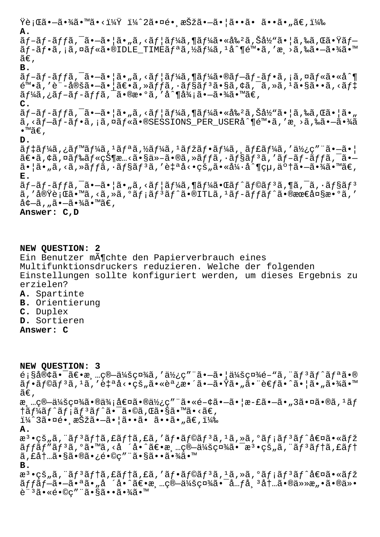$\ddot{Y}$ 行㕗㕾ã•™ã•<? ï¼^2㕤镸択㕗㕦ã••ã• ã••ã•"ã€,) **A.**

ãƒ-ãƒ-ãƒfã,¯ã•-㕦ã•"ã,<ユーã,¶ãƒ¼ã•«å‰²ã,Šå½"㕦ã,‰ã,Œã•Ÿãƒ–  $\tilde{a}f$ -ã $f$ •ã, ¡ã,¤ã $f$ «ã•®IDLE\_TIMEã $f$ ªã,½ã $f$ ¼ã,  ${}^1$ å^¶é™•ã, ′æ $\rightarrow$ ã,‰ã• $-\tilde{a}$ •¾ã•™  $ilde{\alpha} \in$ , **B.**

 $\tilde{a}f$ - $\tilde{a}f$ - $\tilde{a}f$ ,  $\tilde{a}$  - $\tilde{a}$  - $\tilde{a}$  | $\tilde{a}$ ,  $\tilde{a}$ ,  $\tilde{a}f$   $\tilde{a}$   $\tilde{a}$ ,  $\tilde{a}f$   $\tilde{a}$   $\tilde{a}$ ,  $\tilde{a}$ ,  $\tilde{a}$ ,  $\tilde{a}$ ,  $\tilde{a}$ ,  $\tilde{a}$ ,  $\tilde{a}$ ,  $\tilde{a}$ ,  $\tilde{a}$ ,  $\$  $\tilde{e}^{\mathfrak{m}}\cdot\tilde{a}$ , 'è"-定ã $\cdot$ –ã $\cdot$ |ã $\in$ 'ã, » $\tilde{a}$ , » $\tilde{a}$ físaf $\tilde{a}$ ,  $\tilde{a}$ ,  $\tilde{c}$ ã,  $\tilde{c}$ ã,  $\tilde{a}$ , « $\tilde{a}$ f $\tilde{a}$  $\tilde{a}f\tilde{a}$ ã, ¿ãf-ãf-ãffã, ¯ã•®æ•°ã, 'å^¶å¾¡ã•-㕾ã•™ã€,

# **C.**

 $\tilde{a}f$ – $\tilde{a}f$ – $\tilde{a}f$ ,  $\tilde{a}$ • $\tilde{a}$ • $\tilde{a}$ ,  $\tilde{a}$ ,  $\tilde{a}f$  and  $\tilde{a}f$ )  $\tilde{a}f$ )  $\tilde{a}$   $\tilde{a}$ ,  $\tilde{a}f$ )  $\tilde{a}f$   $\tilde{a}$ ,  $\tilde{a}f$   $\tilde{a}f$ )  $\tilde{a}f$   $\tilde{a}f$   $\tilde{a}f$   $\tilde{a}f$   $\tilde{$  $\tilde{a}$ , < $\tilde{a}$  $f$ - $\tilde{a}$  $f$ - $\tilde{a}$ ,  $i$  $\tilde{a}$ ,  $\alpha$  $\tilde{a}$  $f$ « $\tilde{a}$  • $\alpha$  $\tilde{a}$  • $\alpha$  • $\alpha$  • $\alpha$  • $\alpha$  • $\alpha$  • $\alpha$  • $\alpha$  • $\alpha$  • $\alpha$  • $\alpha$  • $\alpha$  • $\alpha$  • $\alpha$  • $\alpha$  • $\alpha$  • $\alpha$  • $\alpha$  • $\alpha$  • $\alpha$  • $\alpha$  • $\alpha$  $\bullet$ ™ã€,

### **D.**

 $\tilde{a}f\ddagger\tilde{a}f\ddagger\tilde{a}$ ,  $\tilde{a}f\ddagger\tilde{a}f\ddagger\tilde{a}f\ddagger\tilde{a}f\ddagger\tilde{a}f\ddagger\tilde{a}f\ddagger\tilde{a}f\ddagger\tilde{a}f\ddagger\tilde{a}f\ddagger\tilde{a}f\ddagger\tilde{a}f\ddagger\tilde{a}f\ddagger\tilde{a}f\ddagger\tilde{a}f\ddagger\tilde{a}f\ddagger\tilde{a}f\ddagger\tilde{a}f\ddagger\tilde{a}f\ddagger\tilde{a}f\dd$  $\tilde{a}\in\tilde{a}$ ,¢ã,¤ã $f$ ‰ã $f$ «çжæ…<ã•§ä»–ã•®ã,»ã $f$ fã,∙ã $f$ §ã $f$ ªã,′ã $f$ –ã $f$ –ã $f$ fã, $\tilde{a}$ • $\tilde{a}$ •  $\tilde{a}$ ,  $\tilde{a}$ ,  $\tilde{a}$ ,  $\tilde{a}$   $\tilde{a}$ ,  $\tilde{a}$   $\tilde{a}$   $\tilde{a}$   $\tilde{b}$ ,  $\tilde{a}$   $\tilde{b}$ ,  $\tilde{a}$   $\tilde{b}$ ,  $\tilde{a}$   $\tilde{a}$ ,  $\tilde{a}$ ,  $\tilde{a}$ ,  $\tilde{a}$ ,  $\tilde{a}$ ,  $\tilde{a}$ ,  $\tilde{a}$ ,  $\tilde{a}$ **E.**  $\tilde{a}f$ - $\tilde{a}f$ - $\tilde{a}f$ ,  $\tilde{a}$  - $\tilde{a}$  - $\tilde{a}$  | $\tilde{a}$ ,  $\tilde{a}$ ,  $\tilde{a}f$ | $\tilde{a}f$  $\tilde{a}$ ,  $\tilde{a}f$  $\tilde{a}f$  $\tilde{a}f$  $\tilde{a}f$  $\tilde{a}f$  $\tilde{a}f$  $\tilde{a}f$  $\tilde{a}$ ,  $\tilde{a}f$  $\tilde{a}f$  $\tilde{a}f$  $\tilde{a}f$  $\$ 

ã,′実行ã•™ã,<ã,»ã,°ãƒ¡ãƒªãƒ^ã•®ITLã,1ãƒ-ッãƒ^㕮最大æ•°ã,′  $\mathring{a}$ ¢ $-\mathring{a}$ , "ã• $-\mathring{a}$ •¾ $\mathring{a}$ •™ $\mathring{a}$  $\epsilon$ ,

## **Answer: C,D**

**NEW QUESTION: 2** Ein Benutzer m $\tilde{A}$ ¶chte den Papierverbrauch eines Multifunktionsdruckers reduzieren. Welche der folgenden Einstellungen sollte konfiguriert werden, um dieses Ergebnis zu erzielen? **A.** Spartinte

- **B.** Orientierung
- **C.** Duplex
- **D.** Sortieren

**Answer: C**

**NEW QUESTION: 3**  $\epsilon$ ; §å®¢ã•¯ã€•清算会社ã, '使ç"¨ã•—ã• |会社é-"ã, ¨ãƒ3ãƒ^リã•® ãf•ãf©ãfªã,1ã,′自å<•çš"㕫調整㕗㕟ã•"㕨è€fã•^㕦ã•"㕾ã•™  $ilde{\tilde{a}}\epsilon$ , æ ... ç® - 会社ã•®ä¾;値㕮使ç" "ã• «é-¢ã• - ã• ¦æ-£ã• - ã• "3㕤ã•®ã, 1ãf †ã $f$ ¼ã $f$ ^ã $f$ ;ã $f$ <sup>3</sup>ã $f$ ^㕯ã•©ã,Œã•§ã•™ã•<ã€, ï¼^3㕤é• æŠžã•—ã•¦ã••ã• ã••ã•"ã€,) **A.**  $\mathbb{R}^3$ •çš"ã, "ãf $^3$ ãf†ã, £ãf†ã, £ã, 'ãf•ãf©ãf $^3$ ã,  $^1$ ã, »ã,  $^0$ ãf;ãf $^3$ ãf $^{\wedge}$ å $\in$ ¤ã•«ãfž ãffãf"ãf<sup>3</sup>ã,°ã•™ã,<å ´å•^〕æ, "ç®-会社㕯æ<sup>3</sup>•çš "ã,¨ãf<sup>3</sup>ãf†ã,£ãf† ã, £å†…㕧㕮㕿é•©ç″¨ã•§ã••㕾ã•™ **B.** æ<sup>3</sup>•çš"ã, "ãf<sup>3</sup>ãf†ã, £ãf†ã, £ã, 'ãf•ãf©ãf<sup>3</sup>ã, <sup>1</sup>ã, »ã, ºãf;ãf<sup>3</sup>ãf^値ã•«ãfž  $\tilde{a}ff\tilde{a}f-\tilde{a}\cdot-\tilde{a}\cdot a\tilde{a}\cdot$ <sub>n</sub>å ´å $\cdot$  $\tilde{a}\in\tilde{a}$ <sub>\*</sub>  $\tilde{a}$ <sub>\*</sub>  $\tilde{a}$ \* $\tilde{a}$ \* $\tilde{a}$ \* $\tilde{a}$ \* $\tilde{a}$ \* $\tilde{a}$ \* $\tilde{a}$ \* $\tilde{a}$ \* $\tilde{a}$ \* $\tilde{a}$ \* $\tilde{a}$ \* $\tilde{a}$ \* $\tilde{a}$ \* $\tilde{a}$ \* $\tilde{a}$ \* $\tilde{$ è"<sup>3</sup>ã•«é•©c″"㕧㕕㕾ã•™